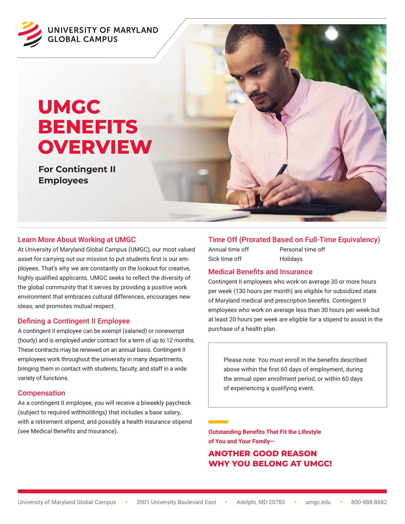

# **UMGC BENEFITS OVERVIEW**

**For Contingent II Employees**



At University of Maryland Global Campus (UMGC), our most valued asset for carrying out our mission to put students first is our employees. That's why we are constantly on the lookout for creative, highly qualified applicants. UMGC seeks to reflect the diversity of the global community that it serves by providing a positive work environment that embraces cultural differences, encourages new ideas, and promotes mutual respect.

## Defining a Contingent II Employee

A contingent II employee can be exempt (salaried) or nonexempt (hourly) and is employed under contract for a term of up to 12 months. These contracts may be renewed on an annual basis. Contingent II employees work throughout the university in many departments, bringing them in contact with students, faculty, and staff in a wide variety of functions.

#### Compensation

As a contingent II employee, you will receive a biweekly paycheck (subject to required withholdings) that includes a base salary, with a retirement stipend, and possibly a health insurance stipend (see Medical Benefits and Insurance).

# Time Off (Prorated Based on Full-Time Equivalency)

Sick time off **Holidays** 

Annual time off Personal time off

#### Medical Benefits and Insurance

Contingent II employees who work on average 30 or more hours per week (130 hours per month) are eligible for subsidized state of Maryland medical and prescription benefits. Contingent II employees who work on average less than 30 hours per week but at least 20 hours per week are eligible for a stipend to assist in the purchase of a health plan.

Please note: You must enroll in the benefits described above within the first 60 days of employment, during the annual open enrollment period, or within 60 days of experiencing a qualifying event.

**Outstanding Benefits That Fit the Lifestyle of You and Your Family—**

# **ANOTHER GOOD REASON WHY YOU BELONG AT UMGC!**